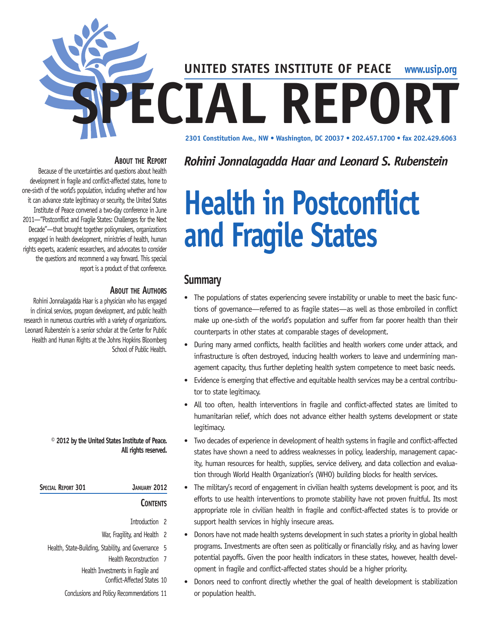

## **About the Report**

Because of the uncertainties and questions about health development in fragile and conflict-affected states, home to one-sixth of the world's population, including whether and how it can advance state legitimacy or security, the United States Institute of Peace convened a two-day conference in June 2011—"Postconflict and Fragile States: Challenges for the Next Decade"—that brought together policymakers, organizations engaged in health development, ministries of health, human rights experts, academic researchers, and advocates to consider the questions and recommend a way forward. This special report is a product of that conference.

## **About the Authors**

Rohini Jonnalagadda Haar is a physician who has engaged in clinical services, program development, and public health research in numerous countries with a variety of organizations. Leonard Rubenstein is a senior scholar at the Center for Public Health and Human Rights at the Johns Hopkins Bloomberg School of Public Health.

#### **© 2012 by the United States Institute of Peace. All rights reserved.**

| SPECIAL REPORT 301 | JANUARY 2012    |
|--------------------|-----------------|
|                    | <b>CONTENTS</b> |

- Introduction 2
- War, Fragility, and Health 2
- Health, State-Building, Stability, and Governance 5 Health Reconstruction 7

Health Investments in Fragile and

Conflict-Affected States 10

Conclusions and Policy Recommendations 11

# *Rohini Jonnalagadda Haar and Leonard S. Rubenstein*

# **Health in Postconflict and Fragile States**

## **Summary**

- The populations of states experiencing severe instability or unable to meet the basic functions of governance—referred to as fragile states—as well as those embroiled in conflict make up one-sixth of the world's population and suffer from far poorer health than their counterparts in other states at comparable stages of development.
- During many armed conflicts, health facilities and health workers come under attack, and infrastructure is often destroyed, inducing health workers to leave and undermining management capacity, thus further depleting health system competence to meet basic needs.
- Evidence is emerging that effective and equitable health services may be a central contributor to state legitimacy.
- All too often, health interventions in fragile and conflict-affected states are limited to humanitarian relief, which does not advance either health systems development or state legitimacy.
- Two decades of experience in development of health systems in fragile and conflict-affected states have shown a need to address weaknesses in policy, leadership, management capacity, human resources for health, supplies, service delivery, and data collection and evaluation through World Health Organization's (WHO) building blocks for health services.
- The military's record of engagement in civilian health systems development is poor, and its efforts to use health interventions to promote stability have not proven fruitful. Its most appropriate role in civilian health in fragile and conflict-affected states is to provide or support health services in highly insecure areas.
- Donors have not made health systems development in such states a priority in global health programs. Investments are often seen as politically or financially risky, and as having lower potential payoffs. Given the poor health indicators in these states, however, health development in fragile and conflict-affected states should be a higher priority.
- Donors need to confront directly whether the goal of health development is stabilization or population health.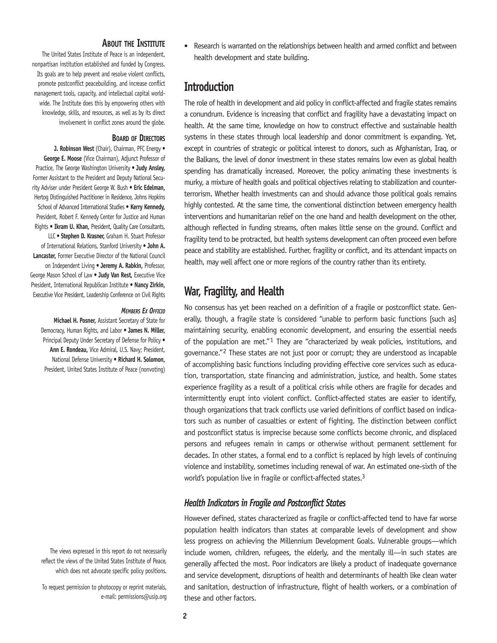#### **About the Institute**

The United States Institute of Peace is an independent, nonpartisan institution established and funded by Congress. Its goals are to help prevent and resolve violent conflicts, promote postconflict peacebuilding, and increase conflict management tools, capacity, and intellectual capital worldwide. The Institute does this by empowering others with knowledge, skills, and resources, as well as by its direct involvement in conflict zones around the globe.

#### **Board of Directors**

**J. Robinson West** (Chair), Chairman, PFC Energy • **George E. Moose** (Vice Chairman), Adjunct Professor of Practice, The George Washington University • **Judy Ansley,** Former Assistant to the President and Deputy National Security Adviser under President George W. Bush • **Eric Edelman,** Hertog Distinguished Practitioner in Residence, Johns Hopkins School of Advanced International Studies • **Kerry Kennedy,**  President, Robert F. Kennedy Center for Justice and Human Rights • **Ikram U. Khan,** President, Quality Care Consultants, LLC • **Stephen D. Krasner,** Graham H. Stuart Professor of International Relations, Stanford University • **John A. Lancaster,** Former Executive Director of the National Council on Independent Living • **Jeremy A. Rabkin,** Professor, George Mason School of Law • **Judy Van Rest,** Executive Vice President, International Republican Institute • **Nancy Zirkin,**

*Members Ex Officio*

**Michael H. Posner,** Assistant Secretary of State for Democracy, Human Rights, and Labor • **James N. Miller,**  Principal Deputy Under Secretary of Defense for Policy • **Ann E. Rondeau,** Vice Admiral, U.S. Navy; President, National Defense University • **Richard H. Solomon,**  President, United States Institute of Peace (nonvoting)

Executive Vice President, Leadership Conference on Civil Rights

The views expressed in this report do not necessarily reflect the views of the United States Institute of Peace, which does not advocate specific policy positions.

To request permission to photocopy or reprint materials, e-mail: permissions@usip.org • Research is warranted on the relationships between health and armed conflict and between health development and state building.

## **Introduction**

The role of health in development and aid policy in conflict-affected and fragile states remains a conundrum. Evidence is increasing that conflict and fragility have a devastating impact on health. At the same time, knowledge on how to construct effective and sustainable health systems in these states through local leadership and donor commitment is expanding. Yet, except in countries of strategic or political interest to donors, such as Afghanistan, Iraq, or the Balkans, the level of donor investment in these states remains low even as global health spending has dramatically increased. Moreover, the policy animating these investments is murky, a mixture of health goals and political objectives relating to stabilization and counterterrorism. Whether health investments can and should advance those political goals remains highly contested. At the same time, the conventional distinction between emergency health interventions and humanitarian relief on the one hand and health development on the other, although reflected in funding streams, often makes little sense on the ground. Conflict and fragility tend to be protracted, but health systems development can often proceed even before peace and stability are established. Further, fragility or conflict, and its attendant impacts on health, may well affect one or more regions of the country rather than its entirety.

## **War, Fragility, and Health**

No consensus has yet been reached on a definition of a fragile or postconflict state. Generally, though, a fragile state is considered "unable to perform basic functions [such as] maintaining security, enabling economic development, and ensuring the essential needs of the population are met."1 They are "characterized by weak policies, institutions, and governance."2 These states are not just poor or corrupt; they are understood as incapable of accomplishing basic functions including providing effective core services such as education, transportation, state financing and administration, justice, and health. Some states experience fragility as a result of a political crisis while others are fragile for decades and intermittently erupt into violent conflict. Conflict-affected states are easier to identify, though organizations that track conflicts use varied definitions of conflict based on indicators such as number of casualties or extent of fighting. The distinction between conflict and postconflict status is imprecise because some conflicts become chronic, and displaced persons and refugees remain in camps or otherwise without permanent settlement for decades. In other states, a formal end to a conflict is replaced by high levels of continuing violence and instability, sometimes including renewal of war. An estimated one-sixth of the world's population live in fragile or conflict-affected states.<sup>3</sup>

### *Health Indicators in Fragile and Postconflict States*

However defined, states characterized as fragile or conflict-affected tend to have far worse population health indicators than states at comparable levels of development and show less progress on achieving the Millennium Development Goals. Vulnerable groups—which include women, children, refugees, the elderly, and the mentally ill—in such states are generally affected the most. Poor indicators are likely a product of inadequate governance and service development, disruptions of health and determinants of health like clean water and sanitation, destruction of infrastructure, flight of health workers, or a combination of these and other factors.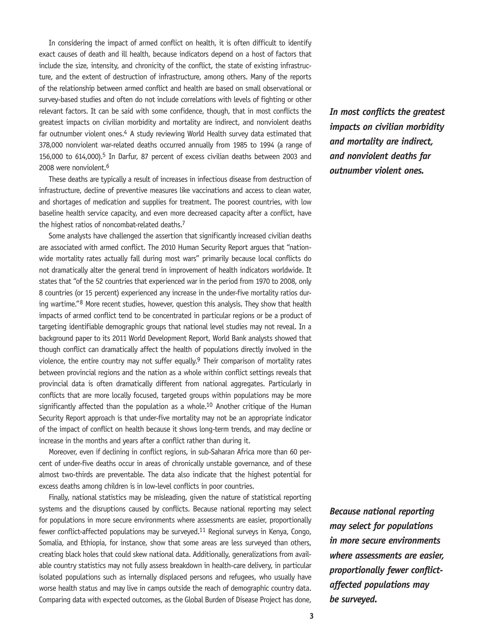In considering the impact of armed conflict on health, it is often difficult to identify exact causes of death and ill health, because indicators depend on a host of factors that include the size, intensity, and chronicity of the conflict, the state of existing infrastructure, and the extent of destruction of infrastructure, among others. Many of the reports of the relationship between armed conflict and health are based on small observational or survey-based studies and often do not include correlations with levels of fighting or other relevant factors. It can be said with some confidence, though, that in most conflicts the greatest impacts on civilian morbidity and mortality are indirect, and nonviolent deaths far outnumber violent ones.<sup>4</sup> A study reviewing World Health survey data estimated that 378,000 nonviolent war-related deaths occurred annually from 1985 to 1994 (a range of 156,000 to 614,000).<sup>5</sup> In Darfur, 87 percent of excess civilian deaths between 2003 and 2008 were nonviolent.6

These deaths are typically a result of increases in infectious disease from destruction of infrastructure, decline of preventive measures like vaccinations and access to clean water, and shortages of medication and supplies for treatment. The poorest countries, with low baseline health service capacity, and even more decreased capacity after a conflict, have the highest ratios of noncombat-related deaths.<sup>7</sup>

Some analysts have challenged the assertion that significantly increased civilian deaths are associated with armed conflict. The 2010 Human Security Report argues that "nationwide mortality rates actually fall during most wars" primarily because local conflicts do not dramatically alter the general trend in improvement of health indicators worldwide. It states that "of the 52 countries that experienced war in the period from 1970 to 2008, only 8 countries (or 15 percent) experienced any increase in the under-five mortality ratios during wartime."8 More recent studies, however, question this analysis. They show that health impacts of armed conflict tend to be concentrated in particular regions or be a product of targeting identifiable demographic groups that national level studies may not reveal. In a background paper to its 2011 World Development Report, World Bank analysts showed that though conflict can dramatically affect the health of populations directly involved in the violence, the entire country may not suffer equally.<sup>9</sup> Their comparison of mortality rates between provincial regions and the nation as a whole within conflict settings reveals that provincial data is often dramatically different from national aggregates. Particularly in conflicts that are more locally focused, targeted groups within populations may be more significantly affected than the population as a whole.<sup>10</sup> Another critique of the Human Security Report approach is that under-five mortality may not be an appropriate indicator of the impact of conflict on health because it shows long-term trends, and may decline or increase in the months and years after a conflict rather than during it.

Moreover, even if declining in conflict regions, in sub-Saharan Africa more than 60 percent of under-five deaths occur in areas of chronically unstable governance, and of these almost two-thirds are preventable. The data also indicate that the highest potential for excess deaths among children is in low-level conflicts in poor countries.

Finally, national statistics may be misleading, given the nature of statistical reporting systems and the disruptions caused by conflicts. Because national reporting may select for populations in more secure environments where assessments are easier, proportionally fewer conflict-affected populations may be surveyed.<sup>11</sup> Regional surveys in Kenya, Congo, Somalia, and Ethiopia, for instance, show that some areas are less surveyed than others, creating black holes that could skew national data. Additionally, generalizations from available country statistics may not fully assess breakdown in health-care delivery, in particular isolated populations such as internally displaced persons and refugees, who usually have worse health status and may live in camps outside the reach of demographic country data. Comparing data with expected outcomes, as the Global Burden of Disease Project has done,

*In most conflicts the greatest impacts on civilian morbidity and mortality are indirect, and nonviolent deaths far outnumber violent ones.*

*Because national reporting may select for populations in more secure environments where assessments are easier, proportionally fewer conflictaffected populations may be surveyed.*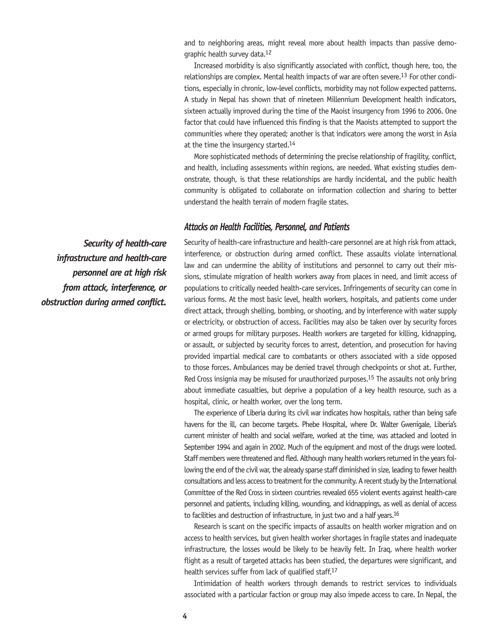and to neighboring areas, might reveal more about health impacts than passive demographic health survey data.12

Increased morbidity is also significantly associated with conflict, though here, too, the relationships are complex. Mental health impacts of war are often severe.<sup>13</sup> For other conditions, especially in chronic, low-level conflicts, morbidity may not follow expected patterns. A study in Nepal has shown that of nineteen Millennium Development health indicators, sixteen actually improved during the time of the Maoist insurgency from 1996 to 2006. One factor that could have influenced this finding is that the Maoists attempted to support the communities where they operated; another is that indicators were among the worst in Asia at the time the insurgency started.14

More sophisticated methods of determining the precise relationship of fragility, conflict, and health, including assessments within regions, are needed. What existing studies demonstrate, though, is that these relationships are hardly incidental, and the public health community is obligated to collaborate on information collection and sharing to better understand the health terrain of modern fragile states.

#### *Attacks on Health Facilities, Personnel, and Patients*

Security of health-care infrastructure and health-care personnel are at high risk from attack, interference, or obstruction during armed conflict. These assaults violate international law and can undermine the ability of institutions and personnel to carry out their missions, stimulate migration of health workers away from places in need, and limit access of populations to critically needed health-care services. Infringements of security can come in various forms. At the most basic level, health workers, hospitals, and patients come under direct attack, through shelling, bombing, or shooting, and by interference with water supply or electricity, or obstruction of access. Facilities may also be taken over by security forces or armed groups for military purposes. Health workers are targeted for killing, kidnapping, or assault, or subjected by security forces to arrest, detention, and prosecution for having provided impartial medical care to combatants or others associated with a side opposed to those forces. Ambulances may be denied travel through checkpoints or shot at. Further, Red Cross insignia may be misused for unauthorized purposes.<sup>15</sup> The assaults not only bring about immediate casualties, but deprive a population of a key health resource, such as a hospital, clinic, or health worker, over the long term.

The experience of Liberia during its civil war indicates how hospitals, rather than being safe havens for the ill, can become targets. Phebe Hospital, where Dr. Walter Gwenigale, Liberia's current minister of health and social welfare, worked at the time, was attacked and looted in September 1994 and again in 2002. Much of the equipment and most of the drugs were looted. Staff members were threatened and fled. Although many health workers returned in the years following the end of the civil war, the already sparse staff diminished in size, leading to fewer health consultations and less access to treatment for the community. A recent study by the International Committee of the Red Cross in sixteen countries revealed 655 violent events against health-care personnel and patients, including killing, wounding, and kidnappings, as well as denial of access to facilities and destruction of infrastructure, in just two and a half years.<sup>16</sup>

Research is scant on the specific impacts of assaults on health worker migration and on access to health services, but given health worker shortages in fragile states and inadequate infrastructure, the losses would be likely to be heavily felt. In Iraq, where health worker flight as a result of targeted attacks has been studied, the departures were significant, and health services suffer from lack of qualified staff.17

Intimidation of health workers through demands to restrict services to individuals associated with a particular faction or group may also impede access to care. In Nepal, the

*Security of health-care infrastructure and health-care personnel are at high risk from attack, interference, or obstruction during armed conflict.*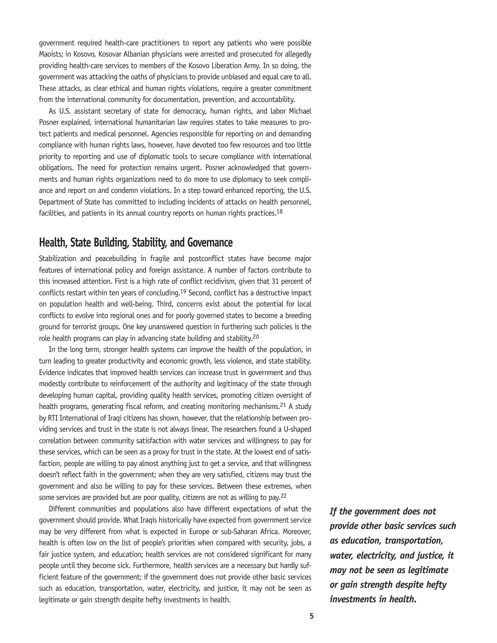government required health-care practitioners to report any patients who were possible Maoists; in Kosovo, Kosovar Albanian physicians were arrested and prosecuted for allegedly providing health-care services to members of the Kosovo Liberation Army. In so doing, the government was attacking the oaths of physicians to provide unbiased and equal care to all. These attacks, as clear ethical and human rights violations, require a greater commitment from the international community for documentation, prevention, and accountability.

As U.S. assistant secretary of state for democracy, human rights, and labor Michael Posner explained, international humanitarian law requires states to take measures to protect patients and medical personnel. Agencies responsible for reporting on and demanding compliance with human rights laws, however, have devoted too few resources and too little priority to reporting and use of diplomatic tools to secure compliance with international obligations. The need for protection remains urgent. Posner acknowledged that governments and human rights organizations need to do more to use diplomacy to seek compliance and report on and condemn violations. In a step toward enhanced reporting, the U.S. Department of State has committed to including incidents of attacks on health personnel, facilities, and patients in its annual country reports on human rights practices.<sup>18</sup>

## **Health, State Building, Stability, and Governance**

Stabilization and peacebuilding in fragile and postconflict states have become major features of international policy and foreign assistance. A number of factors contribute to this increased attention. First is a high rate of conflict recidivism, given that 31 percent of conflicts restart within ten years of concluding.<sup>19</sup> Second, conflict has a destructive impact on population health and well-being. Third, concerns exist about the potential for local conflicts to evolve into regional ones and for poorly governed states to become a breeding ground for terrorist groups. One key unanswered question in furthering such policies is the role health programs can play in advancing state building and stability.20

In the long term, stronger health systems can improve the health of the population, in turn leading to greater productivity and economic growth, less violence, and state stability. Evidence indicates that improved health services can increase trust in government and thus modestly contribute to reinforcement of the authority and legitimacy of the state through developing human capital, providing quality health services, promoting citizen oversight of health programs, generating fiscal reform, and creating monitoring mechanisms.<sup>21</sup> A study by RTI International of Iraqi citizens has shown, however, that the relationship between providing services and trust in the state is not always linear. The researchers found a U-shaped correlation between community satisfaction with water services and willingness to pay for these services, which can be seen as a proxy for trust in the state. At the lowest end of satisfaction, people are willing to pay almost anything just to get a service, and that willingness doesn't reflect faith in the government; when they are very satisfied, citizens may trust the government and also be willing to pay for these services. Between these extremes, when some services are provided but are poor quality, citizens are not as willing to pay.<sup>22</sup>

Different communities and populations also have different expectations of what the government should provide. What Iraqis historically have expected from government service may be very different from what is expected in Europe or sub-Saharan Africa. Moreover, health is often low on the list of people's priorities when compared with security, jobs, a fair justice system, and education; health services are not considered significant for many people until they become sick. Furthermore, health services are a necessary but hardly sufficient feature of the government; if the government does not provide other basic services such as education, transportation, water, electricity, and justice, it may not be seen as legitimate or gain strength despite hefty investments in health.

*If the government does not provide other basic services such as education, transportation, water, electricity, and justice, it may not be seen as legitimate or gain strength despite hefty investments in health.*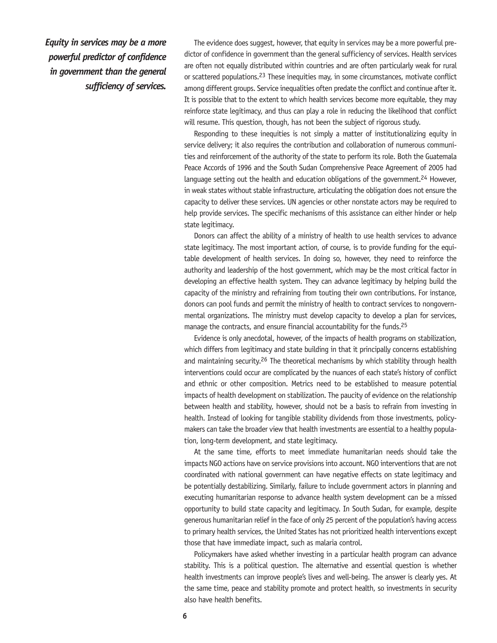*Equity in services may be a more powerful predictor of confidence in government than the general sufficiency of services.*

The evidence does suggest, however, that equity in services may be a more powerful predictor of confidence in government than the general sufficiency of services. Health services are often not equally distributed within countries and are often particularly weak for rural or scattered populations.23 These inequities may, in some circumstances, motivate conflict among different groups. Service inequalities often predate the conflict and continue after it. It is possible that to the extent to which health services become more equitable, they may reinforce state legitimacy, and thus can play a role in reducing the likelihood that conflict will resume. This question, though, has not been the subject of rigorous study.

Responding to these inequities is not simply a matter of institutionalizing equity in service delivery; it also requires the contribution and collaboration of numerous communities and reinforcement of the authority of the state to perform its role. Both the Guatemala Peace Accords of 1996 and the South Sudan Comprehensive Peace Agreement of 2005 had language setting out the health and education obligations of the government.<sup>24</sup> However, in weak states without stable infrastructure, articulating the obligation does not ensure the capacity to deliver these services. UN agencies or other nonstate actors may be required to help provide services. The specific mechanisms of this assistance can either hinder or help state legitimacy.

Donors can affect the ability of a ministry of health to use health services to advance state legitimacy. The most important action, of course, is to provide funding for the equitable development of health services. In doing so, however, they need to reinforce the authority and leadership of the host government, which may be the most critical factor in developing an effective health system. They can advance legitimacy by helping build the capacity of the ministry and refraining from touting their own contributions. For instance, donors can pool funds and permit the ministry of health to contract services to nongovernmental organizations. The ministry must develop capacity to develop a plan for services, manage the contracts, and ensure financial accountability for the funds.<sup>25</sup>

Evidence is only anecdotal, however, of the impacts of health programs on stabilization, which differs from legitimacy and state building in that it principally concerns establishing and maintaining security.26 The theoretical mechanisms by which stability through health interventions could occur are complicated by the nuances of each state's history of conflict and ethnic or other composition. Metrics need to be established to measure potential impacts of health development on stabilization. The paucity of evidence on the relationship between health and stability, however, should not be a basis to refrain from investing in health. Instead of looking for tangible stability dividends from those investments, policymakers can take the broader view that health investments are essential to a healthy population, long-term development, and state legitimacy.

At the same time, efforts to meet immediate humanitarian needs should take the impacts NGO actions have on service provisions into account. NGO interventions that are not coordinated with national government can have negative effects on state legitimacy and be potentially destabilizing. Similarly, failure to include government actors in planning and executing humanitarian response to advance health system development can be a missed opportunity to build state capacity and legitimacy. In South Sudan, for example, despite generous humanitarian relief in the face of only 25 percent of the population's having access to primary health services, the United States has not prioritized health interventions except those that have immediate impact, such as malaria control.

Policymakers have asked whether investing in a particular health program can advance stability. This is a political question. The alternative and essential question is whether health investments can improve people's lives and well-being. The answer is clearly yes. At the same time, peace and stability promote and protect health, so investments in security also have health benefits.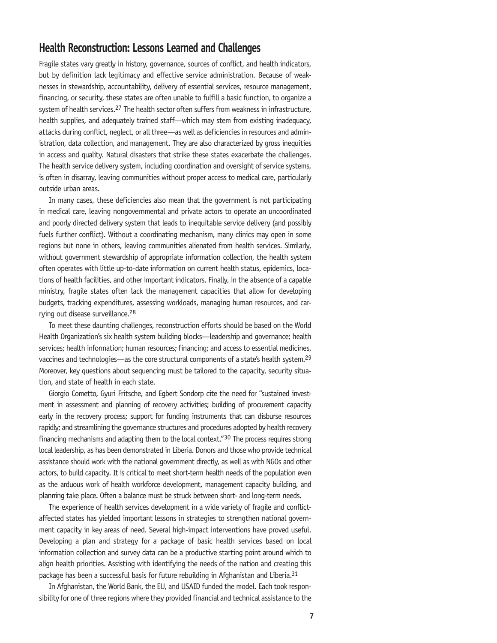## **Health Reconstruction: Lessons Learned and Challenges**

Fragile states vary greatly in history, governance, sources of conflict, and health indicators, but by definition lack legitimacy and effective service administration. Because of weaknesses in stewardship, accountability, delivery of essential services, resource management, financing, or security, these states are often unable to fulfill a basic function, to organize a system of health services.<sup>27</sup> The health sector often suffers from weakness in infrastructure, health supplies, and adequately trained staff—which may stem from existing inadequacy, attacks during conflict, neglect, or all three—as well as deficiencies in resources and administration, data collection, and management. They are also characterized by gross inequities in access and quality. Natural disasters that strike these states exacerbate the challenges. The health service delivery system, including coordination and oversight of service systems, is often in disarray, leaving communities without proper access to medical care, particularly outside urban areas.

In many cases, these deficiencies also mean that the government is not participating in medical care, leaving nongovernmental and private actors to operate an uncoordinated and poorly directed delivery system that leads to inequitable service delivery (and possibly fuels further conflict). Without a coordinating mechanism, many clinics may open in some regions but none in others, leaving communities alienated from health services. Similarly, without government stewardship of appropriate information collection, the health system often operates with little up-to-date information on current health status, epidemics, locations of health facilities, and other important indicators. Finally, in the absence of a capable ministry, fragile states often lack the management capacities that allow for developing budgets, tracking expenditures, assessing workloads, managing human resources, and carrying out disease surveillance.28

To meet these daunting challenges, reconstruction efforts should be based on the World Health Organization's six health system building blocks—leadership and governance; health services; health information; human resources; financing; and access to essential medicines, vaccines and technologies—as the core structural components of a state's health system.29 Moreover, key questions about sequencing must be tailored to the capacity, security situation, and state of health in each state.

Giorgio Cometto, Gyuri Fritsche, and Egbert Sondorp cite the need for "sustained investment in assessment and planning of recovery activities; building of procurement capacity early in the recovery process; support for funding instruments that can disburse resources rapidly; and streamlining the governance structures and procedures adopted by health recovery financing mechanisms and adapting them to the local context."30 The process requires strong local leadership, as has been demonstrated in Liberia. Donors and those who provide technical assistance should work with the national government directly, as well as with NGOs and other actors, to build capacity. It is critical to meet short-term health needs of the population even as the arduous work of health workforce development, management capacity building, and planning take place. Often a balance must be struck between short- and long-term needs.

The experience of health services development in a wide variety of fragile and conflictaffected states has yielded important lessons in strategies to strengthen national government capacity in key areas of need. Several high-impact interventions have proved useful. Developing a plan and strategy for a package of basic health services based on local information collection and survey data can be a productive starting point around which to align health priorities. Assisting with identifying the needs of the nation and creating this package has been a successful basis for future rebuilding in Afghanistan and Liberia.<sup>31</sup>

In Afghanistan, the World Bank, the EU, and USAID funded the model. Each took responsibility for one of three regions where they provided financial and technical assistance to the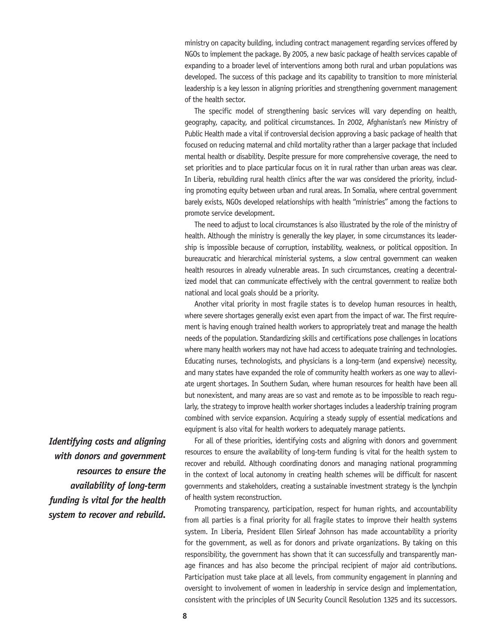ministry on capacity building, including contract management regarding services offered by NGOs to implement the package. By 2005, a new basic package of health services capable of expanding to a broader level of interventions among both rural and urban populations was developed. The success of this package and its capability to transition to more ministerial leadership is a key lesson in aligning priorities and strengthening government management of the health sector.

The specific model of strengthening basic services will vary depending on health, geography, capacity, and political circumstances. In 2002, Afghanistan's new Ministry of Public Health made a vital if controversial decision approving a basic package of health that focused on reducing maternal and child mortality rather than a larger package that included mental health or disability. Despite pressure for more comprehensive coverage, the need to set priorities and to place particular focus on it in rural rather than urban areas was clear. In Liberia, rebuilding rural health clinics after the war was considered the priority, including promoting equity between urban and rural areas. In Somalia, where central government barely exists, NGOs developed relationships with health "ministries" among the factions to promote service development.

The need to adjust to local circumstances is also illustrated by the role of the ministry of health. Although the ministry is generally the key player, in some circumstances its leadership is impossible because of corruption, instability, weakness, or political opposition. In bureaucratic and hierarchical ministerial systems, a slow central government can weaken health resources in already vulnerable areas. In such circumstances, creating a decentralized model that can communicate effectively with the central government to realize both national and local goals should be a priority.

Another vital priority in most fragile states is to develop human resources in health, where severe shortages generally exist even apart from the impact of war. The first requirement is having enough trained health workers to appropriately treat and manage the health needs of the population. Standardizing skills and certifications pose challenges in locations where many health workers may not have had access to adequate training and technologies. Educating nurses, technologists, and physicians is a long-term (and expensive) necessity, and many states have expanded the role of community health workers as one way to alleviate urgent shortages. In Southern Sudan, where human resources for health have been all but nonexistent, and many areas are so vast and remote as to be impossible to reach regularly, the strategy to improve health worker shortages includes a leadership training program combined with service expansion. Acquiring a steady supply of essential medications and equipment is also vital for health workers to adequately manage patients.

For all of these priorities, identifying costs and aligning with donors and government resources to ensure the availability of long-term funding is vital for the health system to recover and rebuild. Although coordinating donors and managing national programming in the context of local autonomy in creating health schemes will be difficult for nascent governments and stakeholders, creating a sustainable investment strategy is the lynchpin of health system reconstruction.

Promoting transparency, participation, respect for human rights, and accountability from all parties is a final priority for all fragile states to improve their health systems system. In Liberia, President Ellen Sirleaf Johnson has made accountability a priority for the government, as well as for donors and private organizations. By taking on this responsibility, the government has shown that it can successfully and transparently manage finances and has also become the principal recipient of major aid contributions. Participation must take place at all levels, from community engagement in planning and oversight to involvement of women in leadership in service design and implementation, consistent with the principles of UN Security Council Resolution 1325 and its successors.

*Identifying costs and aligning with donors and government resources to ensure the availability of long-term funding is vital for the health system to recover and rebuild.*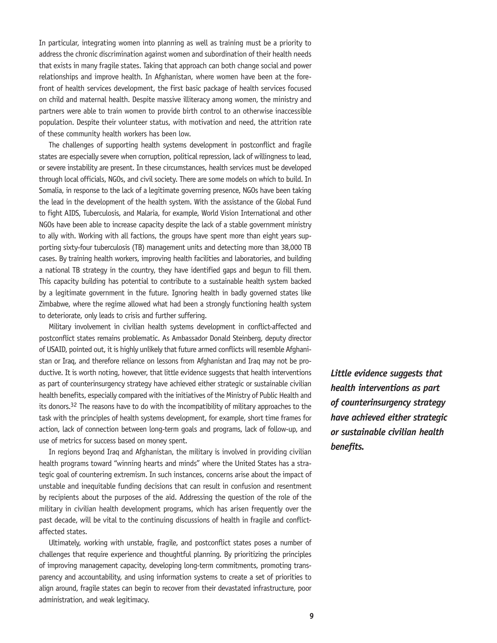In particular, integrating women into planning as well as training must be a priority to address the chronic discrimination against women and subordination of their health needs that exists in many fragile states. Taking that approach can both change social and power relationships and improve health. In Afghanistan, where women have been at the forefront of health services development, the first basic package of health services focused on child and maternal health. Despite massive illiteracy among women, the ministry and partners were able to train women to provide birth control to an otherwise inaccessible population. Despite their volunteer status, with motivation and need, the attrition rate of these community health workers has been low.

The challenges of supporting health systems development in postconflict and fragile states are especially severe when corruption, political repression, lack of willingness to lead, or severe instability are present. In these circumstances, health services must be developed through local officials, NGOs, and civil society. There are some models on which to build. In Somalia, in response to the lack of a legitimate governing presence, NGOs have been taking the lead in the development of the health system. With the assistance of the Global Fund to fight AIDS, Tuberculosis, and Malaria, for example, World Vision International and other NGOs have been able to increase capacity despite the lack of a stable government ministry to ally with. Working with all factions, the groups have spent more than eight years supporting sixty-four tuberculosis (TB) management units and detecting more than 38,000 TB cases. By training health workers, improving health facilities and laboratories, and building a national TB strategy in the country, they have identified gaps and begun to fill them. This capacity building has potential to contribute to a sustainable health system backed by a legitimate government in the future. Ignoring health in badly governed states like Zimbabwe, where the regime allowed what had been a strongly functioning health system to deteriorate, only leads to crisis and further suffering.

Military involvement in civilian health systems development in conflict-affected and postconflict states remains problematic. As Ambassador Donald Steinberg, deputy director of USAID, pointed out, it is highly unlikely that future armed conflicts will resemble Afghanistan or Iraq, and therefore reliance on lessons from Afghanistan and Iraq may not be productive. It is worth noting, however, that little evidence suggests that health interventions as part of counterinsurgency strategy have achieved either strategic or sustainable civilian health benefits, especially compared with the initiatives of the Ministry of Public Health and its donors.<sup>32</sup> The reasons have to do with the incompatibility of military approaches to the task with the principles of health systems development, for example, short time frames for action, lack of connection between long-term goals and programs, lack of follow-up, and use of metrics for success based on money spent.

In regions beyond Iraq and Afghanistan, the military is involved in providing civilian health programs toward "winning hearts and minds" where the United States has a strategic goal of countering extremism. In such instances, concerns arise about the impact of unstable and inequitable funding decisions that can result in confusion and resentment by recipients about the purposes of the aid. Addressing the question of the role of the military in civilian health development programs, which has arisen frequently over the past decade, will be vital to the continuing discussions of health in fragile and conflictaffected states.

Ultimately, working with unstable, fragile, and postconflict states poses a number of challenges that require experience and thoughtful planning. By prioritizing the principles of improving management capacity, developing long-term commitments, promoting transparency and accountability, and using information systems to create a set of priorities to align around, fragile states can begin to recover from their devastated infrastructure, poor administration, and weak legitimacy.

*Little evidence suggests that health interventions as part of counterinsurgency strategy have achieved either strategic or sustainable civilian health benefits.*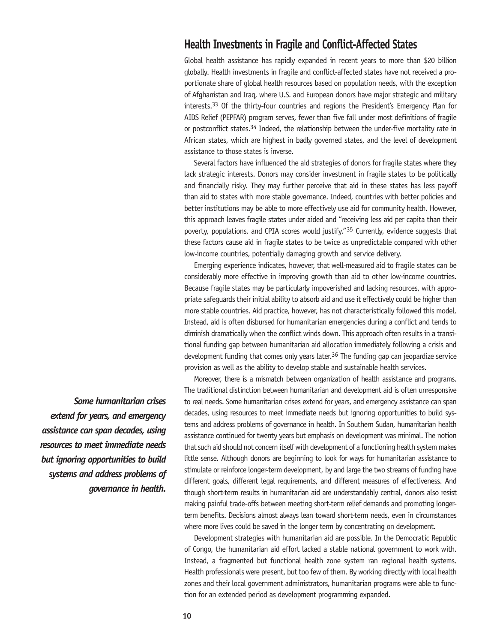## **Health Investments in Fragile and Conflict-Affected States**

Global health assistance has rapidly expanded in recent years to more than \$20 billion globally. Health investments in fragile and conflict-affected states have not received a proportionate share of global health resources based on population needs, with the exception of Afghanistan and Iraq, where U.S. and European donors have major strategic and military interests.33 Of the thirty-four countries and regions the President's Emergency Plan for AIDS Relief (PEPFAR) program serves, fewer than five fall under most definitions of fragile or postconflict states.<sup>34</sup> Indeed, the relationship between the under-five mortality rate in African states, which are highest in badly governed states, and the level of development assistance to those states is inverse.

Several factors have influenced the aid strategies of donors for fragile states where they lack strategic interests. Donors may consider investment in fragile states to be politically and financially risky. They may further perceive that aid in these states has less payoff than aid to states with more stable governance. Indeed, countries with better policies and better institutions may be able to more effectively use aid for community health. However, this approach leaves fragile states under aided and "receiving less aid per capita than their poverty, populations, and CPIA scores would justify."35 Currently, evidence suggests that these factors cause aid in fragile states to be twice as unpredictable compared with other low-income countries, potentially damaging growth and service delivery.

Emerging experience indicates, however, that well-measured aid to fragile states can be considerably more effective in improving growth than aid to other low-income countries. Because fragile states may be particularly impoverished and lacking resources, with appropriate safeguards their initial ability to absorb aid and use it effectively could be higher than more stable countries. Aid practice, however, has not characteristically followed this model. Instead, aid is often disbursed for humanitarian emergencies during a conflict and tends to diminish dramatically when the conflict winds down. This approach often results in a transitional funding gap between humanitarian aid allocation immediately following a crisis and development funding that comes only years later.<sup>36</sup> The funding gap can jeopardize service provision as well as the ability to develop stable and sustainable health services.

Moreover, there is a mismatch between organization of health assistance and programs. The traditional distinction between humanitarian and development aid is often unresponsive to real needs. Some humanitarian crises extend for years, and emergency assistance can span decades, using resources to meet immediate needs but ignoring opportunities to build systems and address problems of governance in health. In Southern Sudan, humanitarian health assistance continued for twenty years but emphasis on development was minimal. The notion that such aid should not concern itself with development of a functioning health system makes little sense. Although donors are beginning to look for ways for humanitarian assistance to stimulate or reinforce longer-term development, by and large the two streams of funding have different goals, different legal requirements, and different measures of effectiveness. And though short-term results in humanitarian aid are understandably central, donors also resist making painful trade-offs between meeting short-term relief demands and promoting longerterm benefits. Decisions almost always lean toward short-term needs, even in circumstances where more lives could be saved in the longer term by concentrating on development.

Development strategies with humanitarian aid are possible. In the Democratic Republic of Congo, the humanitarian aid effort lacked a stable national government to work with. Instead, a fragmented but functional health zone system ran regional health systems. Health professionals were present, but too few of them. By working directly with local health zones and their local government administrators, humanitarian programs were able to function for an extended period as development programming expanded.

*Some humanitarian crises extend for years, and emergency assistance can span decades, using resources to meet immediate needs but ignoring opportunities to build systems and address problems of governance in health.*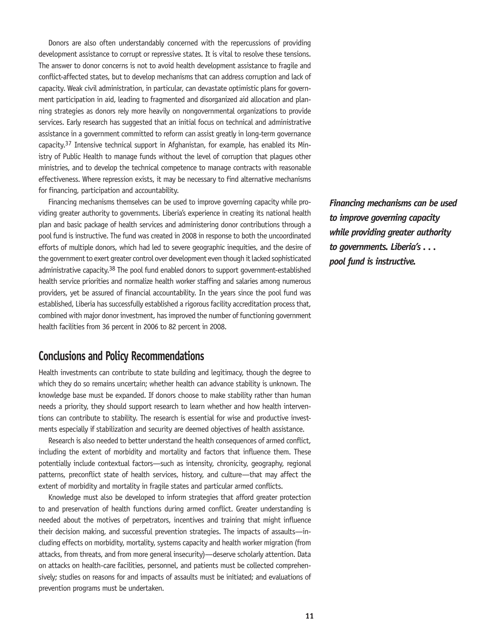Donors are also often understandably concerned with the repercussions of providing development assistance to corrupt or repressive states. It is vital to resolve these tensions. The answer to donor concerns is not to avoid health development assistance to fragile and conflict-affected states, but to develop mechanisms that can address corruption and lack of capacity. Weak civil administration, in particular, can devastate optimistic plans for government participation in aid, leading to fragmented and disorganized aid allocation and planning strategies as donors rely more heavily on nongovernmental organizations to provide services. Early research has suggested that an initial focus on technical and administrative assistance in a government committed to reform can assist greatly in long-term governance capacity.37 Intensive technical support in Afghanistan, for example, has enabled its Ministry of Public Health to manage funds without the level of corruption that plagues other ministries, and to develop the technical competence to manage contracts with reasonable effectiveness. Where repression exists, it may be necessary to find alternative mechanisms for financing, participation and accountability.

Financing mechanisms themselves can be used to improve governing capacity while providing greater authority to governments. Liberia's experience in creating its national health plan and basic package of health services and administering donor contributions through a pool fund is instructive. The fund was created in 2008 in response to both the uncoordinated efforts of multiple donors, which had led to severe geographic inequities, and the desire of the government to exert greater control over development even though it lacked sophisticated administrative capacity.38 The pool fund enabled donors to support government-established health service priorities and normalize health worker staffing and salaries among numerous providers, yet be assured of financial accountability. In the years since the pool fund was established, Liberia has successfully established a rigorous facility accreditation process that, combined with major donor investment, has improved the number of functioning government health facilities from 36 percent in 2006 to 82 percent in 2008.

## **Conclusions and Policy Recommendations**

Health investments can contribute to state building and legitimacy, though the degree to which they do so remains uncertain; whether health can advance stability is unknown. The knowledge base must be expanded. If donors choose to make stability rather than human needs a priority, they should support research to learn whether and how health interventions can contribute to stability. The research is essential for wise and productive investments especially if stabilization and security are deemed objectives of health assistance.

Research is also needed to better understand the health consequences of armed conflict, including the extent of morbidity and mortality and factors that influence them. These potentially include contextual factors—such as intensity, chronicity, geography, regional patterns, preconflict state of health services, history, and culture—that may affect the extent of morbidity and mortality in fragile states and particular armed conflicts.

Knowledge must also be developed to inform strategies that afford greater protection to and preservation of health functions during armed conflict. Greater understanding is needed about the motives of perpetrators, incentives and training that might influence their decision making, and successful prevention strategies. The impacts of assaults—including effects on morbidity, mortality, systems capacity and health worker migration (from attacks, from threats, and from more general insecurity)—deserve scholarly attention. Data on attacks on health-care facilities, personnel, and patients must be collected comprehensively; studies on reasons for and impacts of assaults must be initiated; and evaluations of prevention programs must be undertaken.

*Financing mechanisms can be used to improve governing capacity while providing greater authority to governments. Liberia's . . . pool fund is instructive.*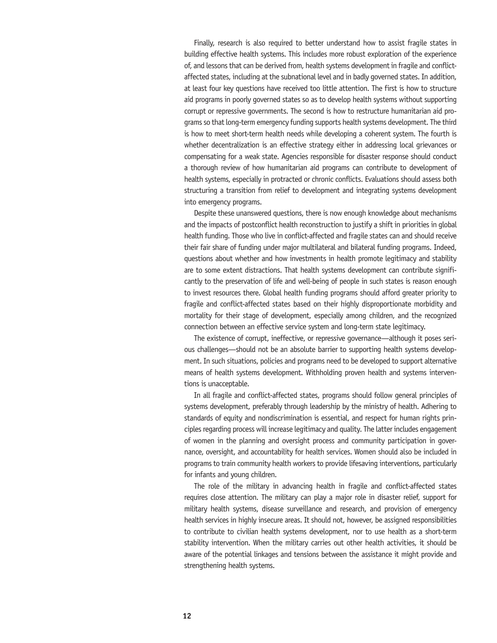Finally, research is also required to better understand how to assist fragile states in building effective health systems. This includes more robust exploration of the experience of, and lessons that can be derived from, health systems development in fragile and conflictaffected states, including at the subnational level and in badly governed states. In addition, at least four key questions have received too little attention. The first is how to structure aid programs in poorly governed states so as to develop health systems without supporting corrupt or repressive governments. The second is how to restructure humanitarian aid programs so that long-term emergency funding supports health systems development. The third is how to meet short-term health needs while developing a coherent system. The fourth is whether decentralization is an effective strategy either in addressing local grievances or compensating for a weak state. Agencies responsible for disaster response should conduct a thorough review of how humanitarian aid programs can contribute to development of health systems, especially in protracted or chronic conflicts. Evaluations should assess both structuring a transition from relief to development and integrating systems development into emergency programs.

Despite these unanswered questions, there is now enough knowledge about mechanisms and the impacts of postconflict health reconstruction to justify a shift in priorities in global health funding. Those who live in conflict-affected and fragile states can and should receive their fair share of funding under major multilateral and bilateral funding programs. Indeed, questions about whether and how investments in health promote legitimacy and stability are to some extent distractions. That health systems development can contribute significantly to the preservation of life and well-being of people in such states is reason enough to invest resources there. Global health funding programs should afford greater priority to fragile and conflict-affected states based on their highly disproportionate morbidity and mortality for their stage of development, especially among children, and the recognized connection between an effective service system and long-term state legitimacy.

The existence of corrupt, ineffective, or repressive governance—although it poses serious challenges—should not be an absolute barrier to supporting health systems development. In such situations, policies and programs need to be developed to support alternative means of health systems development. Withholding proven health and systems interventions is unacceptable.

In all fragile and conflict-affected states, programs should follow general principles of systems development, preferably through leadership by the ministry of health. Adhering to standards of equity and nondiscrimination is essential, and respect for human rights principles regarding process will increase legitimacy and quality. The latter includes engagement of women in the planning and oversight process and community participation in governance, oversight, and accountability for health services. Women should also be included in programs to train community health workers to provide lifesaving interventions, particularly for infants and young children.

The role of the military in advancing health in fragile and conflict-affected states requires close attention. The military can play a major role in disaster relief, support for military health systems, disease surveillance and research, and provision of emergency health services in highly insecure areas. It should not, however, be assigned responsibilities to contribute to civilian health systems development, nor to use health as a short-term stability intervention. When the military carries out other health activities, it should be aware of the potential linkages and tensions between the assistance it might provide and strengthening health systems.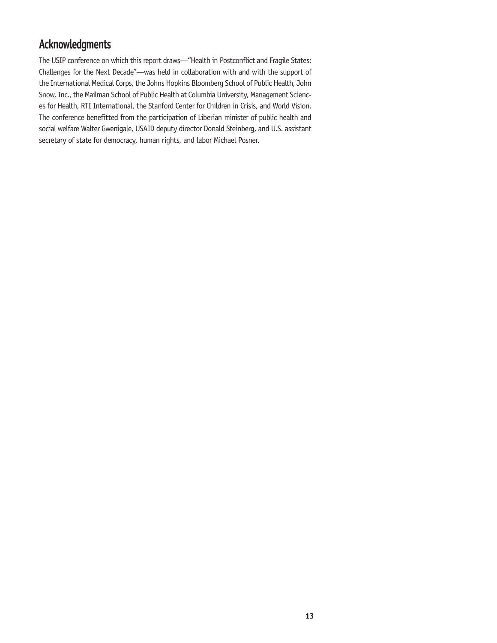# **Acknowledgments**

The USIP conference on which this report draws—"Health in Postconflict and Fragile States: Challenges for the Next Decade"—was held in collaboration with and with the support of the International Medical Corps, the Johns Hopkins Bloomberg School of Public Health, John Snow, Inc., the Mailman School of Public Health at Columbia University, Management Sciences for Health, RTI International, the Stanford Center for Children in Crisis, and World Vision. The conference benefitted from the participation of Liberian minister of public health and social welfare Walter Gwenigale, USAID deputy director Donald Steinberg, and U.S. assistant secretary of state for democracy, human rights, and labor Michael Posner.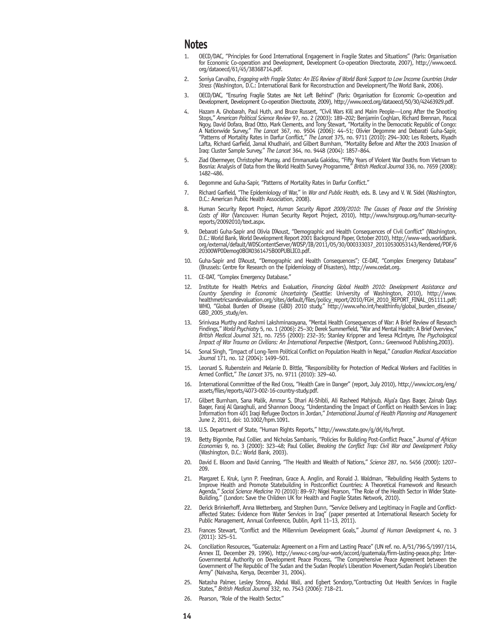## **Notes**

- 1. OECD/DAC, "Principles for Good International Engagement in Fragile States and Situations" (Paris: Organisation for Economic Co-operation and Development, Development Co-operation Directorate, 2007), http://www.oecd. org/dataoecd/61/45/38368714.pdf.
- 2. Soniya Carvalho, *Engaging with Fragile States: An IEG Review of World Bank Support to Low Income Countries Under Stress* (Washington, D.C.: International Bank for Reconstruction and Development/The World Bank, 2006).
- 3. OECD/DAC, "Ensuring Fragile States are Not Left Behind" (Paris: Organisation for Economic Co-operation and Development, Development Co-operation Directorate, 2009), http://www.oecd.org/dataoecd/50/30/42463929.pdf.
- 4. Hazam A. Ghobarah, Paul Huth, and Bruce Russert, "Civil Wars Kill and Maim People—Long After the Shooting Stops," *American Political Science Review* 97, no. 2 (2003): 189–202; Benjamin Coghlan, Richard Brennan, Pascal Ngoy, David Dofara, Brad Otto, Mark Clements, and Tony Stewart, "Mortality in the Democratic Republic of Congo: A Nationwide Survey," *The Lancet* 367, no. 9504 (2006): 44–51; Olivier Degomme and Debarati Guha-Sapir, "Patterns of Mortality Rates in Darfur Conflict," *The Lancet* 375, no. 9711 (2010): 294–300; Les Roberts, Riyadh Lafta, Richard Garfield, Jamal Khudhairi, and Gilbert Burnham, "Mortality Before and After the 2003 Invasion of Iraq: Cluster Sample Survey," *The Lancet* 364, no. 9448 (2004): 1857–864.
- 5. Ziad Obermeyer, Christopher Murray, and Emmanuela Gakidou, "Fifty Years of Violent War Deaths from Vietnam to Bosnia: Analysis of Data from the World Health Survey Programme," *British Medical Journal* 336, no. 7659 (2008): 1482–486.
- 6. Degomme and Guha-Sapir, "Patterns of Mortality Rates in Darfur Conflict."
- 7. Richard Garfield, "The Epidemiology of War," in *War and Public Health,* eds. B. Levy and V. W. Sidel (Washington, D.C.: American Public Health Association, 2008).
- 8. Human Security Report Project, *Human Security Report 2009/2010: The Causes of Peace and the Shrinking Costs of War* (Vancouver: Human Security Report Project, 2010), http://www.hsrgroup.org/human-securityreports/20092010/text.aspx.
- 9. Debarati Guha-Sapir and Olivia D'Aoust, "Demographic and Health Consequences of Civil Conflict" (Washington, D.C.: World Bank, World Development Report 2001 Background Paper, October 2010), http://www-wds.worldbank. org/external/default/WDSContentServer/WDSP/IB/2011/05/30/000333037\_20110530053143/Rendered/PDF/6 20300WP0Demog0BOX0361475B00PUBLIC0.pdf.
- 10. Guha-Sapir and D'Aoust, "Demographic and Health Consequences"; CE-DAT, "Complex Emergency Database" (Brussels: Centre for Research on the Epidemiology of Disasters), http://www.cedat.org.
- 11. CE-DAT, "Complex Emergency Database."
- 12. Institute for Health Metrics and Evaluation, *Financing Global Health 2010: Development Assistance and Country Spending in Economic Uncertainty* (Seattle: University of Washington, 2010), http://www. healthmetricsandevaluation.org/sites/default/files/policy\_report/2010/FGH\_2010\_REPORT\_FINAL\_051111.pdf; WHO, "Global Burden of Disease (GBD) 2010 study," http://www.who.int/healthinfo/global\_burden\_disease/ GBD\_2005\_study/en.
- 13. Srinivasa Murthy and Rashmi Lakshminarayana, "Mental Health Consequences of War: A Brief Review of Research Findings," *World Psychiatry* 5, no. 1 (2006): 25–30; Derek Summerfield, "War and Mental Health: A Brief Overview," *British Medical Journal* 321, no. 7255 (2000): 232–35; Stanley Krippner and Teresa McIntyre, *The Psychological Impact of War Trauma on Civilians: An International Perspective* (Westport, Conn.: Greenwood Publishing,2003).
- 14. Sonal Singh, "Impact of Long-Term Political Conflict on Population Health in Nepal," *Canadian Medical Association Journal* 171, no. 12 (2004): 1499–501.
- 15. Leonard S. Rubenstein and Melanie D. Bittle, "Responsibility for Protection of Medical Workers and Facilities in Armed Conflict," *The Lancet* 375, no. 9711 (2010): 329–40.
- 16. International Committee of the Red Cross, "Health Care in Danger" (report, July 2010), http://www.icrc.org/eng/ assets/files/reports/4073-002-16-country-study.pdf.
- 17. Gilbert Burnham, Sana Malik, Ammar S. Dhari Al-Shibli, Ali Rasheed Mahjoub, Alya'a Qays Baqer, Zainab Qays Baqer, Faraj Al Qaraghuli, and Shannon Doocy, "Understanding the Impact of Conflict on Health Services in Iraq: Information from 401 Iraqi Refugee Doctors in Jordan," *International Journal of Health Planning and Management*  June 2, 2011, doi: 10.1002/hpm.1091.
- 18. U.S. Department of State, "Human Rights Reports," http://www.state.gov/g/drl/rls/hrrpt.
- 19. Betty Bigombe, Paul Collier, and Nicholas Sambanis, "Policies for Building Post-Conflict Peace," *Journal of African Economies* 9, no. 3 (2000): 323–48; Paul Collier, *Breaking the Conflict Trap: Civil War and Development Policy*  (Washington, D.C.: World Bank, 2003).
- 20. David E. Bloom and David Canning, "The Health and Wealth of Nations," *Science* 287, no. 5456 (2000): 1207– 209.
- 21. Margaret E. Kruk, Lynn P. Freedman, Grace A. Anglin, and Ronald J. Waldman, "Rebuilding Health Systems to Improve Health and Promote Statebuilding in Postconflict Countries: A Theoretical Framework and Research Agenda," *Social Science Medicine* 70 (2010): 89–97; Nigel Pearson, "The Role of the Health Sector in Wider State-Building," (London: Save the Children UK for Health and Fragile States Network, 2010).
- 22. Derick Brinkerhoff, Anna Wetterberg, and Stephen Dunn, "Service Delivery and Legitimacy in Fragile and Conflictaffected States: Evidence from Water Services in Iraq" (paper presented at International Research Society for Public Management, Annual Conference, Dublin, April 11-13, 2011).
- 23. Frances Stewart, "Conflict and the Millennium Development Goals," *Journal of Human Development* 4, no. 3 (2011): 325–51.
- 24. Conciliation Resources, "Guatemala: Agreement on a Firm and Lasting Peace" (UN ref. no. A/51/796-S/1997/114, Annex II, December 29, 1996), http://www.c-r.org/our-work/accord/guatemala/firm-lasting-peace.php; Inter-Governmental Authority on Development Peace Process, "The Comprehensive Peace Agreement between the Government of The Republic of The Sudan and the Sudan People's Liberation Movement/Sudan People's Liberation Army" (Naivasha, Kenya, December 31, 2004).
- 25. Natasha Palmer, Lesley Strong, Abdul Wali, and Egbert Sondorp,"Contracting Out Health Services in Fragile States," *British Medical Journal* 332, no. 7543 (2006): 718–21.
- 26. Pearson, "Role of the Health Sector."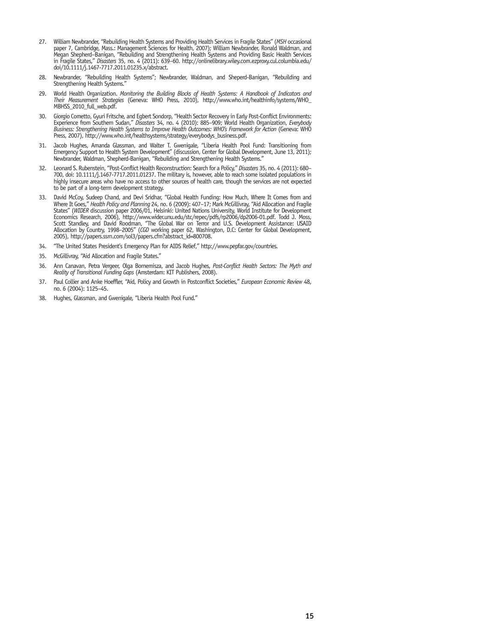- 27. William Newbrander, "Rebuilding Health Systems and Providing Health Services in Fragile States" (*MSH* occasional paper 7, Cambridge, Mass.: Management Sciences for Health, 2007); William Newbrander, Ronald Waldman, and Megan Shepherd–Banigan, "Rebuilding and Strengthening Health Systems and Providing Basic Health Services in Fragile States," *Disasters* 35, no. 4 (2011): 639–60. http://onlinelibrary.wiley.com.ezproxy.cul.columbia.edu/ doi/10.1111/j.1467-7717.2011.01235.x/abstract.
- 28. Newbrander, "Rebuilding Health Systems"; Newbrander, Waldman, and Sheperd-Banigan, "Rebuilding and Strengthening Health Systems."
- 29. World Health Organization. *Monitoring the Building Blocks of Health Systems: A Handbook of Indicators and Their Measurement Strategies* (Geneva: WHO Press, 2010), http://www.who.int/healthinfo/systems/WHO\_ MBHSS\_2010\_full\_web.pdf.
- 30. Giorgio Cometto, Gyuri Fritsche, and Egbert Sondorp, "Health Sector Recovery in Early Post-Conflict Environments: Experience from Southern Sudan," *Disasters* 34, no. 4 (2010): 885–909; World Health Organization, *Everybody Business: Strengthening Health Systems to Improve Health Outcomes: WHO's Framework for Action* (Geneva: WHO Press, 2007), http://www.who.int/healthsystems/strategy/everybodys\_business.pdf.
- 31. Jacob Hughes, Amanda Glassman, and Walter T. Gwenigale, "Liberia Health Pool Fund: Transitioning from Emergency Support to Health System Development" (discussion, Center for Global Development, June 13, 2011); Newbrander, Waldman, Shepherd-Banigan, "Rebuilding and Strengthening Health Systems."
- 32. Leonard S. Rubenstein, "Post-Conflict Health Reconstruction: Search for a Policy," *Disasters* 35, no. 4 (2011): 680– 700, doi: 10.1111/j.1467-7717.2011.01237. The military is, however, able to reach some isolated populations in highly insecure areas who have no access to other sources of health care, though the services are not expected to be part of a long-term development strategy.
- 33. David McCoy, Sudeep Chand, and Devi Sridhar, "Global Health Funding: How Much, Where It Comes from and Where It Goes," *Health Policy and Planning* 24, no. 6 (2009): 407–17; Mark McGillivray, "Aid Allocation and Fragile States" (*WIDER* discussion paper 2006/01, Helsinki: United Nations University, World Institute for Development Economics Research, 2006), http://www.wider.unu.edu/stc/repec/pdfs/rp2006/dp2006-01.pdf. Todd J. Moss, Scott Standley, and David Roodman, "The Global War on Terror and U.S. Development Assistance: USAID Allocation by Country, 1998–2005" (*CGD* working paper 62, Washington, D.C: Center for Global Development,<br>2005), http://papers.ssrn.com/sol3/papers.cfm?abstract\_id=800708.
- 34. "The United States President's Emergency Plan for AIDS Relief," http://www.pepfar.gov/countries.
- 35. McGillivray, "Aid Allocation and Fragile States."
- 36. Ann Canavan, Petra Vergeer, Olga Bornemisza, and Jacob Hughes, *Post-Conflict Health Sectors: The Myth and Reality of Transitional Funding Gaps* (Amsterdam: KIT Publishers, 2008).
- 37. Paul Collier and Anke Hoeffler, "Aid, Policy and Growth in Postconflict Societies," *European Economic Review* 48, no. 6 (2004): 1125–45.
- 38. Hughes, Glassman, and Gwenigale, "Liberia Health Pool Fund."